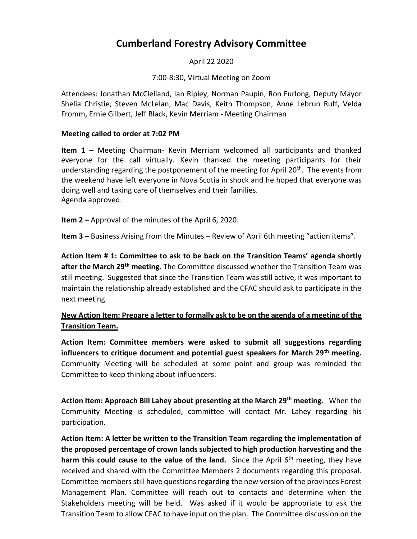# **Cumberland Forestry Advisory Committee**

April 22 2020

7:00-8:30, Virtual Meeting on Zoom

Attendees: Jonathan McClelland, Ian Ripley, Norman Paupin, Ron Furlong, Deputy Mayor Shelia Christie, Steven McLelan, Mac Davis, Keith Thompson, Anne Lebrun Ruff, Velda Fromm, Ernie Gilbert, Jeff Black, Kevin Merriam - Meeting Chairman

#### **Meeting called to order at 7:02 PM**

**Item 1** – Meeting Chairman- Kevin Merriam welcomed all participants and thanked everyone for the call virtually. Kevin thanked the meeting participants for their understanding regarding the postponement of the meeting for April 20<sup>th</sup>. The events from the weekend have left everyone in Nova Scotia in shock and he hoped that everyone was doing well and taking care of themselves and their families. Agenda approved.

**Item 2 –** Approval of the minutes of the April 6, 2020.

**Item 3 –** Business Arising from the Minutes – Review of April 6th meeting "action items".

**Action Item # 1: Committee to ask to be back on the Transition Teams' agenda shortly after the March 29th meeting.** The Committee discussed whether the Transition Team was still meeting. Suggested that since the Transition Team was still active, it was important to maintain the relationship already established and the CFAC should ask to participate in the next meeting.

## **New Action Item: Prepare a letter to formally ask to be on the agenda of a meeting of the Transition Team.**

**Action Item: Committee members were asked to submit all suggestions regarding influencers to critique document and potential guest speakers for March 29th meeting.**  Community Meeting will be scheduled at some point and group was reminded the Committee to keep thinking about influencers.

**Action Item: Approach Bill Lahey about presenting at the March 29th meeting.** When the Community Meeting is scheduled, committee will contact Mr. Lahey regarding his participation.

**Action Item: A letter be written to the Transition Team regarding the implementation of the proposed percentage of crown lands subjected to high production harvesting and the**  harm this could cause to the value of the land. Since the April 6<sup>th</sup> meeting, they have received and shared with the Committee Members 2 documents regarding this proposal. Committee members still have questions regarding the new version of the provinces Forest Management Plan. Committee will reach out to contacts and determine when the Stakeholders meeting will be held. Was asked if it would be appropriate to ask the Transition Team to allow CFAC to have input on the plan. The Committee discussion on the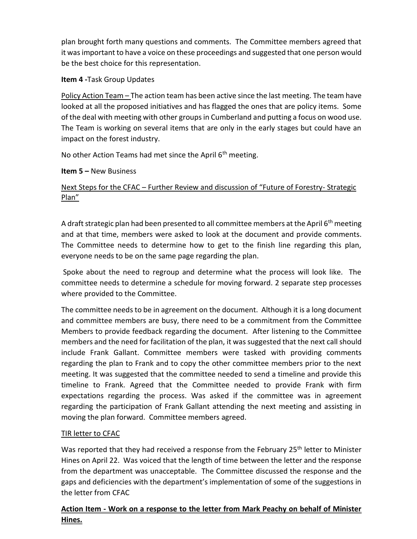plan brought forth many questions and comments. The Committee members agreed that it was important to have a voice on these proceedings and suggested that one person would be the best choice for this representation.

### **Item 4 -**Task Group Updates

Policy Action Team – The action team has been active since the last meeting. The team have looked at all the proposed initiatives and has flagged the ones that are policy items. Some of the deal with meeting with other groups in Cumberland and putting a focus on wood use. The Team is working on several items that are only in the early stages but could have an impact on the forest industry.

No other Action Teams had met since the April 6<sup>th</sup> meeting.

## **Item 5 –** New Business

# Next Steps for the CFAC – Further Review and discussion of "Future of Forestry- Strategic Plan"

A draft strategic plan had been presented to all committee members at the April 6<sup>th</sup> meeting and at that time, members were asked to look at the document and provide comments. The Committee needs to determine how to get to the finish line regarding this plan, everyone needs to be on the same page regarding the plan.

Spoke about the need to regroup and determine what the process will look like. The committee needs to determine a schedule for moving forward. 2 separate step processes where provided to the Committee.

The committee needsto be in agreement on the document. Although it is a long document and committee members are busy, there need to be a commitment from the Committee Members to provide feedback regarding the document. After listening to the Committee members and the need for facilitation of the plan, it wassuggested that the next call should include Frank Gallant. Committee members were tasked with providing comments regarding the plan to Frank and to copy the other committee members prior to the next meeting. It was suggested that the committee needed to send a timeline and provide this timeline to Frank. Agreed that the Committee needed to provide Frank with firm expectations regarding the process. Was asked if the committee was in agreement regarding the participation of Frank Gallant attending the next meeting and assisting in moving the plan forward. Committee members agreed.

#### TIR letter to CFAC

Was reported that they had received a response from the February 25<sup>th</sup> letter to Minister Hines on April 22. Was voiced that the length of time between the letter and the response from the department was unacceptable. The Committee discussed the response and the gaps and deficiencies with the department's implementation of some of the suggestions in the letter from CFAC

## **Action Item - Work on a response to the letter from Mark Peachy on behalf of Minister Hines.**